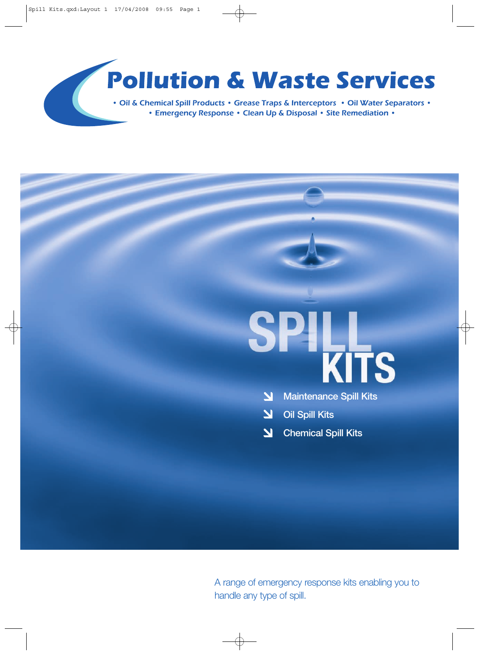# **Pollution & Waste Services**

• Oil & Chemical Spill Products • Grease Traps & Interceptors • Oil Water Separators • • Emergency Response • Clean Up & Disposal • Site Remediation •

# SPILL<br>KITS

- $\overline{\mathbf{M}}$ **Maintenance Spill Kits**
- **Oil Spill Kits** 2
- **Chemical Spill Kits**  $\overline{\mathbf{M}}$

A range of emergency response kits enabling you to handle any type of spill.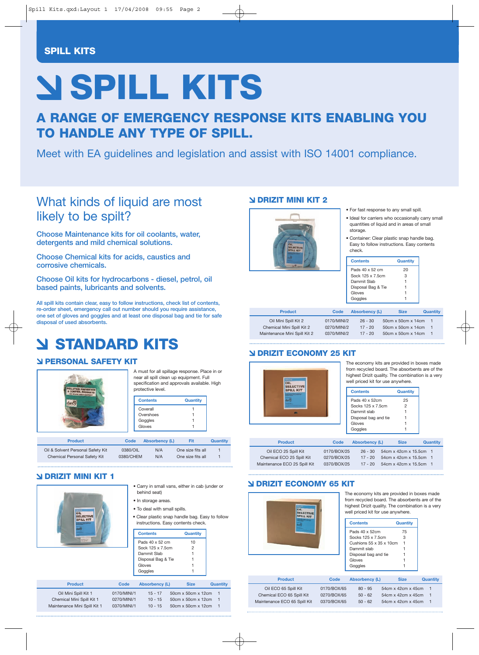#### **SPILL KITS**

# **SPILL KITS**

**A RANGE OF EMERGENCY RESPONSE KITS ENABLING YOU TO HANDLE ANY TYPE OF SPILL.**

Meet with EA guidelines and legislation and assist with ISO 14001 compliance.

### What kinds of liquid are most likely to be spilt?

**Choose Maintenance kits for oil coolants, water, detergents and mild chemical solutions.** 

**Choose Chemical kits for acids, caustics and corrosive chemicals.** 

**Choose Oil kits for hydrocarbons - diesel, petrol, oil based paints, lubricants and solvents.**

**All spill kits contain clear, easy to follow instructions, check list of contents, re-order sheet, emergency call out number should you require assistance, one set of gloves and goggles and at least one disposal bag and tie for safe disposal of used absorbents.**

# **STANDARD KITS**

#### **PERSONAL SAFETY KIT**



A must for all spillage response. Place in or near all spill clean up equipment. Full specification and approvals available. High protective level.

| <b>Contents</b> | <b>Quantity</b> |
|-----------------|-----------------|
| Coverall        |                 |
| Overshoes       |                 |
| Goggles         |                 |
| Gloves          |                 |

| <b>Product</b>                    | Code      | <b>Absorbency (L)</b> | Fit               | Quantity |
|-----------------------------------|-----------|-----------------------|-------------------|----------|
| Oil & Solvent Personal Safety Kit | 0380/OIL  | N/A                   | One size fits all |          |
| Chemical Personal Safety Kit      | 0380/CHEM | N/A                   | One size fits all |          |

#### **DRIZIT MINI KIT 1**

| ŌIL                          |             | behind seat)<br>• In storage areas.<br>• To deal with small spills. | • Carry in small vans, either in cab (under or<br>• Clear plastic snap handle bag. Easy to follow<br>instructions. Easy contents check. |                 |
|------------------------------|-------------|---------------------------------------------------------------------|-----------------------------------------------------------------------------------------------------------------------------------------|-----------------|
|                              |             | <b>Contents</b>                                                     | <b>Quantity</b>                                                                                                                         |                 |
| <b>Children</b>              |             | Pads 40 x 52 cm                                                     | 10                                                                                                                                      |                 |
|                              |             | Sock 125 x 7.5cm                                                    | 2                                                                                                                                       |                 |
|                              |             | Dammit Slab<br>Disposal Bag & Tie                                   |                                                                                                                                         |                 |
|                              |             | Gloves                                                              |                                                                                                                                         |                 |
|                              |             | Goggles                                                             |                                                                                                                                         |                 |
|                              |             |                                                                     |                                                                                                                                         |                 |
| <b>Product</b>               | Code        | <b>Absorbency (L)</b>                                               | <b>Size</b>                                                                                                                             | <b>Quantity</b> |
| Oil Mini Spill Kit 1         | 0170/MINI/1 | $15 - 17$                                                           | 50cm x 50cm x 12cm                                                                                                                      | $\overline{1}$  |
| Chemical Mini Spill Kit 1    | 0270/MINI/1 | $10 - 15$                                                           | $50cm \times 50cm \times 12cm$                                                                                                          | 1               |
| Maintenance Mini Spill Kit 1 | 0370/MINI/1 | $10 - 15$                                                           | 50cm x 50cm x 12cm                                                                                                                      | 1               |

#### **DRIZIT MINI KIT 2**



|  |  |  | . For fast response to any small spill. |  |  |  |  |
|--|--|--|-----------------------------------------|--|--|--|--|
|--|--|--|-----------------------------------------|--|--|--|--|

- Ideal for carriers who occasionally carry small quantities of liquid and in areas of small storage.
- Container: Clear plastic snap handle bag. Easy to follow instructions. Easy contents check.

| Contents           | Quantity |
|--------------------|----------|
| Pads 40 x 52 cm    | 20       |
| Sock 125 x 7 5cm   | З        |
| Dammit Slab        |          |
| Disposal Bag & Tie |          |
| Gloves             |          |
| Goggles            |          |

| <b>Product</b>               | Code        | <b>Absorbency (L)</b> | <b>Size</b>        | <b>Quantity</b> |
|------------------------------|-------------|-----------------------|--------------------|-----------------|
| Oil Mini Spill Kit 2         | 0170/MINI/2 | $26 - 30$             | 50cm x 50cm x 14cm | $\mathbf{1}$    |
| Chemical Mini Spill Kit 2    | 0270/MINI/2 | $17 - 20$             | 50cm x 50cm x 14cm |                 |
| Maintenance Mini Spill Kit 2 | 0370/MINI/2 | $17 - 20$             | 50cm x 50cm x 14cm |                 |

#### **DRIZIT ECONOMY 25 KIT**



| The economy kits are provided in boxes made       |
|---------------------------------------------------|
| from recycled board. The absorbents are of the    |
| highest Drizit quality. The combination is a very |
| well priced kit for use anywhere.                 |

| <b>Contents</b>      | Quantity |
|----------------------|----------|
| Pads 40 x 52cm       | 25       |
| Socks 125 x 7.5cm    | 2        |
| Dammit slah          |          |
| Disposal bag and tie |          |
| Gloves               |          |
| Goggles              |          |

| <b>Product</b>               | Code        | <b>Absorbency (L)</b> | <b>Size</b>            | <b>Quantity</b> |
|------------------------------|-------------|-----------------------|------------------------|-----------------|
| Oil ECO 25 Spill Kit         | 0170/BOX/25 | $26 - 30$             | 54cm x 42cm x 15.5cm 1 |                 |
| Chemical ECO 25 Spill Kit    | 0270/BOX/25 | $17 - 20$             | 54cm x 42cm x 15.5cm 1 |                 |
| Maintenance ECO 25 Spill Kit | 0370/BOX/25 | $17 - 20$             | 54cm x 42cm x 15.5cm 1 |                 |

#### **DRIZIT ECONOMY 65 KIT**



The economy kits are provided in boxes made from recycled board. The absorbents are of the highest Drizit quality. The combination is a very well priced kit for use anywhere.

| <b>Contents</b>                      | Quantity |
|--------------------------------------|----------|
| Pads 40 x 52cm                       | 75       |
| Socks 125 x 7.5cm                    | 3        |
| Cushions $55 \times 35 \times 10$ cm | 1        |
| Dammit slab                          |          |
| Disposal bag and tie                 |          |
| Gloves                               |          |
| Goaales                              |          |

| <b>Product</b>               | Code        | <b>Absorbency (L)</b> | <b>Size</b>          | <b>Quantity</b> |
|------------------------------|-------------|-----------------------|----------------------|-----------------|
| Oil ECO 65 Spill Kit         | 0170/BOX/65 | $80 - 95$             | 54cm x 42cm x 45cm 1 |                 |
| Chemical ECO 65 Spill Kit    | 0270/BOX/65 | $50 - 62$             | 54cm x 42cm x 45cm   |                 |
| Maintenance ECO 65 Spill Kit | 0370/BOX/65 | $50 - 62$             | 54cm x 42cm x 45cm   |                 |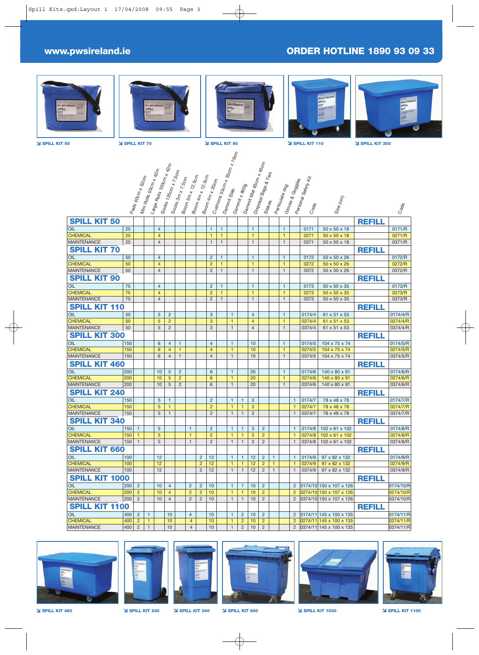#### **www.pwsireland.ie ORDER HOTLINE 1890 93 09 33**











**SPILL KIT 50 SPILL KIT 70 SPILL KIT 90 SPILL KIT 110 SPILL KIT 300**













**SPILL KIT 460 SPILL KIT 240 SPILL KIT 340 SPILL KIT 660 SPILL KIT 1000 SPILL KIT 1100**

 $\overline{\bigoplus}$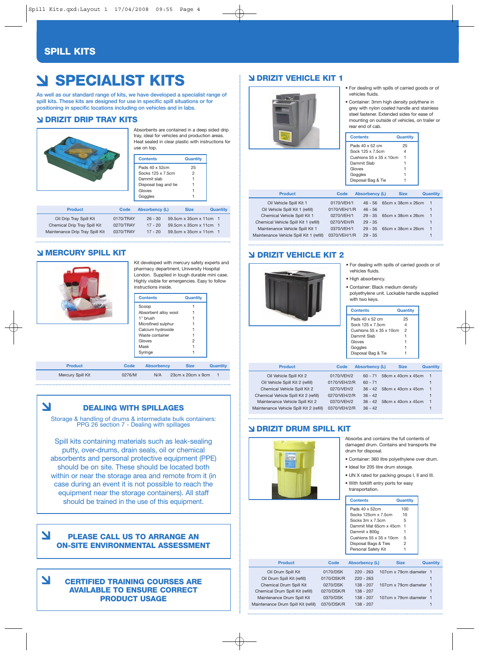#### **SPILL KITS**

# **SPECIALIST KITS**

**As well as our standard range of kits, we have developed a specialist range of spill kits. These kits are designed for use in specific spill situations or for positioning in specific locations including on vehicles and in labs.** 

#### **DRIZIT DRIP TRAY KITS**



Absorbents are contained in a deep sided drip tray, ideal for vehicles and production areas. Heat sealed in clear plastic with instructions for use on top.

| <b>Contents</b>             | Quantity       |
|-----------------------------|----------------|
| Pads 40 x 52cm              | 25             |
| Socks 125 x 7.5cm           | $\overline{2}$ |
| Dammit slab                 |                |
| Disposal bag and tie        |                |
| Gloves                      |                |
| Goggles                     |                |
|                             |                |
| ا از دید میده مانند میکند ک | ----           |

| <b>Product</b>                  | Code      | <b>Absorbency (L)</b> | <b>Size</b>            | Quantity |
|---------------------------------|-----------|-----------------------|------------------------|----------|
| Oil Drip Tray Spill Kit         | 0170/TRAY | $26 - 30$             | 59.5cm x 35cm x 11cm 1 |          |
| Chemical Drip Tray Spill Kit    | 0270/TRAY | $17 - 20$             | 59.5cm x 35cm x 11cm 1 |          |
| Maintenance Drip Tray Spill Kit | 0370/TRAY | $17 - 20$             | 59.5cm x 35cm x 11cm 1 |          |
|                                 |           |                       |                        |          |

#### **MERCURY SPILL KIT**



Mercury Spill Kit

 $\blacktriangle$ 

Kit developed with mercury safety experts and pharmacy department, University Hospital .<br>London. Supplied in tough durable mini case. Highly visible for emergencies. Easy to follow instructions inside.

|                |        | <b>Contents</b>      | <b>Quantity</b>               |                 |
|----------------|--------|----------------------|-------------------------------|-----------------|
|                |        | Scoop                |                               |                 |
|                |        | Absorbent alloy wool |                               |                 |
|                |        | 1" brush             |                               |                 |
|                |        | Microfined sulphur   |                               |                 |
|                |        | Calcium hydroxide    |                               |                 |
|                |        | Waste container      |                               |                 |
|                |        | Gloves               | 2                             |                 |
|                |        | Mask                 |                               |                 |
|                |        | Syringe              |                               |                 |
|                |        |                      |                               |                 |
| <b>Product</b> | Code   | <b>Absorbency</b>    | <b>Size</b>                   | <b>Quantity</b> |
| cury Spill Kit | 0276/M | N/A                  | $23cm \times 20cm \times 9cm$ |                 |

| ,我们也不会有一个人的事情。""我们的人,我们也不会有一个人的人,我们也不会有一个人的人,我们也不会有一个人的人,我们也不会有一个人的人,我们也不会有一个人的人,<br>第二百一十一章 第二百一十一章 第二百一十一章 第二百一十一章 第二百一章 第二百一章 第二百一章 第二百一章 第二百一章 第二百一章 第二百一章 第二百一章 第 |  |  |
|------------------------------------------------------------------------------------------------------------------------------------------------------------------------|--|--|
|                                                                                                                                                                        |  |  |
|                                                                                                                                                                        |  |  |
|                                                                                                                                                                        |  |  |
|                                                                                                                                                                        |  |  |
|                                                                                                                                                                        |  |  |
|                                                                                                                                                                        |  |  |
|                                                                                                                                                                        |  |  |
|                                                                                                                                                                        |  |  |
|                                                                                                                                                                        |  |  |
|                                                                                                                                                                        |  |  |
|                                                                                                                                                                        |  |  |
|                                                                                                                                                                        |  |  |
|                                                                                                                                                                        |  |  |
|                                                                                                                                                                        |  |  |

#### **DEALING WITH SPILLAGES**

Storage & handling of drums & intermediate bulk containers: PPG 26 section 7 - Dealing with spillages

Spill kits containing materials such as leak-sealing putty, over-drums, drain seals, oil or chemical absorbents and personal protective equipment (PPE) should be on site. These should be located both within or near the storage area and remote from it (in case during an event it is not possible to reach the equipment near the storage containers). All staff should be trained in the use of this equipment.

#### 7 **PLEASE CALL US TO ARRANGE AN ON-SITE ENVIRONMENTAL ASSESSMENT**

7 **CERTIFIED TRAINING COURSES ARE AVAILABLE TO ENSURE CORRECT PRODUCT USAGE**

#### **DRIZIT VEHICLE KIT 1**



- For dealing with spills of carried goods or of vehicles fluids.
- Container: 3mm high density polythene in grey with nylon coated handle and stainless steel fastener. Extended sides for ease of mounting on outside of vehicles, on trailer or rear end of cab.

| <b>Contents</b>                      | Quantity |
|--------------------------------------|----------|
| Pads 40 x 52 cm                      | 25       |
| Sock 125 x 7 5cm                     | 4        |
| Cushions $55 \times 35 \times 10$ cm |          |
| Dammit Slab                          |          |
| Gloves                               |          |
| Goggles                              |          |
| Disposal Bag & Tie                   |          |

| <b>Product</b>                           | Code         | <b>Absorbency (L)</b> | <b>Size</b>        | Quantity |
|------------------------------------------|--------------|-----------------------|--------------------|----------|
| Oil Vehicle Spill Kit 1                  | 0170/VEH/1   | $46 - 56$             | 65cm x 38cm x 26cm | - 1      |
| Oil Vehicle Spill Kit 1 (refill)         | 0170/VEH/1/R | $46 - 56$             |                    |          |
| Chemical Vehicle Spill Kit 1             | 0270/VEH/1   | $29 - 35$             | 65cm x 38cm x 26cm | -1       |
| Chemical Vehicle Spill Kit 1 (refill)    | 0270/VEH/R   | $29 - 35$             |                    |          |
| Maintenance Vehicle Spill Kit 1          | 0370/VEH/1   | $29 - 35$             | 65cm x 38cm x 26cm | -1       |
| Maintenance Vehicle Spill Kit 1 (refill) | 0370/VEH/1/R | $29 - 35$             |                    |          |
|                                          |              |                       |                    |          |

#### **DRIZIT VEHICLE KIT 2**



- For dealing with spills of carried goods or of vehicles fluids.
- High absorbency.
- Container: Black medium density
- polyethylene unit. Lockable handle supplied with two keys.

|                                       |              | <b>Contents</b>         |                            | Quantity           |                 |
|---------------------------------------|--------------|-------------------------|----------------------------|--------------------|-----------------|
|                                       |              | Pads 40 x 52 cm         |                            | 25                 |                 |
|                                       |              | Sock 125 x 7.5cm        |                            | $\overline{4}$     |                 |
|                                       |              | Cushions 55 x 35 x 10cm |                            | $\overline{2}$     |                 |
|                                       |              | Dammit Slab             |                            |                    |                 |
|                                       |              | Gloves                  |                            |                    |                 |
|                                       |              | Goggles                 |                            |                    |                 |
|                                       |              | Disposal Bag & Tie      |                            |                    |                 |
|                                       |              |                         |                            |                    |                 |
| <b>Product</b>                        | Code         | <b>Absorbency (L)</b>   |                            | <b>Size</b>        | <b>Quantity</b> |
| Oil Vehicle Spill Kit 2               | 0170/VEH/2   |                         | 60 - 71 58cm x 40cm x 45cm |                    |                 |
| Oil Vehicle Spill Kit 2 (refill)      | 0170/VEH/2/R | $60 - 71$               |                            |                    |                 |
| Chemical Vehicle Spill Kit 2          | 0270/VEH/2   |                         | 36 - 42 58cm x 40cm x 45cm |                    |                 |
| Chemical Vehicle Spill Kit 2 (refill) | 0270/VEH/2/R | $36 - 42$               |                            |                    |                 |
| Maintenance Vehicle Spill Kit 2       | 0370/VEH/2   | $36 - 42$               |                            | 58cm x 40cm x 45cm |                 |

#### **DRIZIT DRUM SPILL KIT**

Maintenance Vehicle Spill Kit 2 (refill) 0370/VEH/2/R 36 - 42

Maintenance Vehicle Spill Kit 2

Absorbs and contains the full contents of damaged drum. Contains and transports the drum for disposal.

- Container: 360 litre polyethylene over drum.
- Ideal for 205 litre drum storage.
- UN X rated for packing groups I, II and III. • With forklift entry ports for easy

| <b>Contents</b>         | Quantity |
|-------------------------|----------|
| Pads 40 x 52cm          | 100      |
| Socks 125cm x 7.5cm     | 10       |
| Socks 3m x 7 5cm        | 5        |
| Dammit Mat 65cm x 45cm  | 1        |
| Dammit x 800q           |          |
| Cushions 55 x 35 x 10cm | 5        |
| Disposal Bags & Ties    | 2        |
| Personal Safety Kit     |          |

| <b>Product</b>                      | Code       | <b>Absorbency (L)</b> | <b>Size</b>             | Quantity |
|-------------------------------------|------------|-----------------------|-------------------------|----------|
| Oil Drum Spill Kit                  | 0170/DSK   | $220 - 263$           | 107cm x 79cm diameter 1 |          |
| Oil Drum Spill Kit (refill)         | 0170/DSK/R | $220 - 263$           |                         |          |
| Chemical Drum Spill Kit             | 0270/DSK   | $138 - 207$           | 107cm x 79cm diameter 1 |          |
| Chemical Drum Spill Kit (refill)    | 0270/DSK/R | $138 - 207$           |                         |          |
| Maintenance Drum Spill Kit          | 0370/DSK   | $138 - 207$           | 107cm x 79cm diameter 1 |          |
| Maintenance Drum Spill Kit (refill) | 0370/DSK/R | $138 - 207$           |                         |          |
|                                     |            |                       |                         |          |

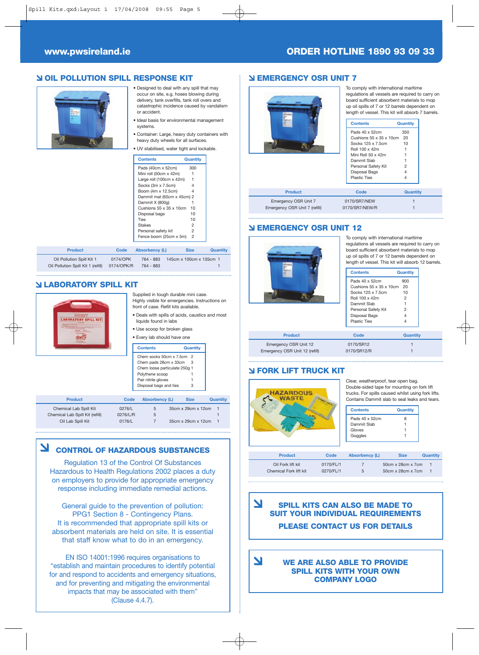#### **www.pwsireland.ie ORDER HOTLINE 1890 93 09 33**

#### **OIL POLLUTION SPILL RESPONSE KIT**



- Designed to deal with any spill that may occur on site, e.g. hoses blowing during delivery, tank overfills, tank roll overs and catastrophic incidence caused by vandalism or accident.
- Ideal basis for environmental management systems.
- Container: Large, heavy duty containers with heavy duty wheels for all surfaces.

• UV stabilised, water tight and lockable.

| <b>Contents</b>                      | Quantity       |
|--------------------------------------|----------------|
| Pads (40cm x 52cm)                   | 300            |
| Mini roll (50cm x 42m)               |                |
| Large roll (100cm x 42m)             |                |
| Socks (3m x 7.5cm)                   | 4              |
| Boom (4m x 12.5cm)                   | 4              |
| Dammit mat (65cm x 45cm) 2           |                |
| Dammit X (800g)                      | 1              |
| Cushions $55 \times 35 \times 10$ cm | 10             |
| Disposal bags                        | 10             |
| Ties                                 | 10             |
| <b>Stakes</b>                        | $\overline{2}$ |
| Personal safety kit                  | $\overline{2}$ |
| Fence boom (25cm x 5m)               | $\overline{c}$ |

| <b>Product</b>                                                  | Code                   | <b>Absorbency (L)</b>  | <b>Size</b>             | Quantity |
|-----------------------------------------------------------------|------------------------|------------------------|-------------------------|----------|
| Oil Pollution Spill Kit 1<br>Oil Pollution Spill Kit 1 (refill) | 0174/OPK<br>0174/OPK/R | 764 - 883<br>764 - 883 | 145cm x 100cm x 135cm 1 |          |

#### **LABORATORY SPILL KIT**



| Supplied in tough durable mini case.<br>Highly visible for emergencies. Instructions on<br>front of case. Refill kits available. |
|----------------------------------------------------------------------------------------------------------------------------------|
| • Deals with spills of acids, caustics and most<br>liquids found in labs                                                         |

• Use scoop for broken glass • Every lab should have one

| $\sim$ . The strong flat of $\sim$ |          |
|------------------------------------|----------|
| <b>Contents</b>                    | Quantity |
| Chem socks 50cm x 7.5cm 2          |          |
| Chem pads 28cm x 33cm              | З        |
| Chem loose particulate 250g 1      |          |
| Polythene scoop                    |          |
| Pair nitrile gloves                | 1        |
| Disposal bags and ties             | 3        |

| <b>Product</b>                  | Code     | <b>Absorbency (L)</b> | <b>Size</b>        | Quantity |
|---------------------------------|----------|-----------------------|--------------------|----------|
| Chemical Lab Spill Kit          | 0276/L   | 5                     | 35cm x 29cm x 12cm |          |
| Chemical Lab Spill Kit (refill) | 0276/L/R | 5                     |                    |          |
| Oil Lab Spill Kit               | 0176/L   |                       | 35cm x 29cm x 12cm |          |

#### **CONTROL OF HAZARDOUS SUBSTANCES**

Regulation 13 of the Control Of Substances Hazardous to Health Regulations 2002 places a duty on employers to provide for appropriate emergency response including immediate remedial actions.

General guide to the prevention of pollution: PPG1 Section 8 - Contingency Plans. It is recommended that appropriate spill kits or absorbent materials are held on site. It is essential that staff know what to do in an emergency.

EN ISO 14001:1996 requires organisations to "establish and maintain procedures to identify potential for and respond to accidents and emergency situations, and for preventing and mitigating the environmental impacts that may be associated with them" (Clause 4.4.7).

#### **EMERGENCY OSR UNIT 7**



To comply with international maritime regulations all vessels are required to carry on board sufficient absorbent materials to mop up oil spills of 7 or 12 barrels dependent on length of vessel. This kit will absorb 7 barrels.

| <b>Contents</b>                      | Quantity |
|--------------------------------------|----------|
| Pads 40 x 52cm                       | 350      |
| Cushions $55 \times 35 \times 10$ cm | 20       |
| Socks 125 x 7 5cm                    | 10       |
| Roll 100 x 42m                       |          |
| Mini Roll 50 x 42m                   |          |
| Dammit Slab                          |          |
| Personal Safety Kit                  | 2        |
| Disposal Bags                        |          |
| Plastic Ties                         |          |

| <b>Product</b>                | Code           | <b>Quantity</b> |
|-------------------------------|----------------|-----------------|
| Emergency OSR Unit 7          | 0170/SR7/NEW   |                 |
| Emergency OSR Unit 7 (refill) | 0170/SR7/NEW/R |                 |

#### **EMERGENCY OSR UNIT 12**



To comply with international maritime regulations all vessels are required to carry on board sufficient absorbent materials to mop up oil spills of 7 or 12 barrels dependent on length of vessel. This kit will absorb 12 barrels.

| <b>Contents</b>                      | <b>Quantity</b> |
|--------------------------------------|-----------------|
| Pads 40 x 52cm                       | 900             |
| Cushions $55 \times 35 \times 10$ cm | 20              |
| Socks 125 x 7.5cm                    | 10              |
| Roll 100 x 42m                       | 2               |
| Dammit Slab                          |                 |
| Personal Safety Kit                  | $\overline{c}$  |
| Disposal Bags                        | 4               |
| <b>Plastic Ties</b>                  | 4               |
|                                      |                 |
| Code                                 | <b>Quantity</b> |
| 0170/SR12                            |                 |
| 0170/SR12/R                          |                 |

#### **FORK LIFT TRUCK KIT**

7

**Product** Emergency OSR Unit 12 Emergency OSR Unit 12 (refill)



Double-sided tape for mounting on fork lift trucks. For spills caused whilst using fork lifts. Contains Dammit slab to seal leaks and tears.

| <b>Contents</b> | Quantity |
|-----------------|----------|
| Pads 40 x 52cm  |          |
| Dammit Slab     |          |
| Gloves          |          |
| Goggles         |          |

| <b>Product</b>         | Code      | <b>Absorbency (L)</b> | <b>Size</b>                   | Quantity |
|------------------------|-----------|-----------------------|-------------------------------|----------|
| Oil Fork lift kit      | 0170/FL/1 |                       | $50cm \times 28cm \times 7cm$ |          |
| Chemical Fork lift kit | 0270/FL/1 | 5                     | $50cm \times 28cm \times 7cm$ |          |
|                        |           |                       |                               |          |

 $\blacktriangleright$ **SPILL KITS CAN ALSO BE MADE TO SUIT YOUR INDIVIDUAL REQUIREMENTS PLEASE CONTACT US FOR DETAILS**

**WE ARE ALSO ABLE TO PROVIDE SPILL KITS WITH YOUR OWN COMPANY LOGO**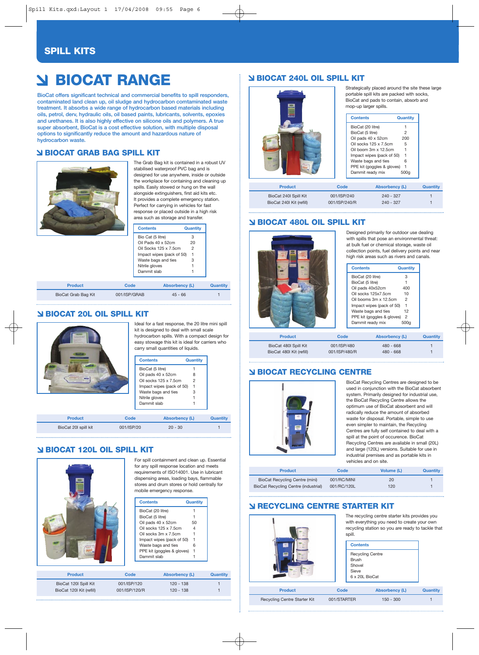#### **SPILL KITS**

# **BIOCAT RANGE**

**BioCat offers significant technical and commercial benefits to spill responders, contaminated land clean up, oil sludge and hydrocarbon comtaminated waste treatment. It absorbs a wide range of hydrocarbon based materials including oils, petrol, derv, hydraulic oils, oil based paints, lubricants, solvents, epoxies and urethanes. It is also highly effective on silicone oils and polymers. A true super absorbent, BioCat is a cost effective solution, with multiple disposal options to significantly reduce the amount and hazardous nature of hydrocarbon waste.**

#### **BIOCAT GRAB BAG SPILL KIT**



The Grab Bag kit is contained in a robust UV stabilised waterproof PVC bag and is designed for use anywhere, inside or outside the workplace for containing and cleaning up spills. Easily stowed or hung on the wall alongside extinguishers, first aid kits etc. It provides a complete emergency station. Perfect for carrying in vehicles for fast response or placed outside in a high risk area such as storage and transfer.

| Contents                  | Quantity |
|---------------------------|----------|
| Bio Cat (5 litre)         | з        |
| Oil Pads 40 x 52cm        | 20       |
| Oil Socks 125 x 7.5cm     | 2        |
| Impact wipes (pack of 50) |          |
| Waste bags and ties       | 3        |
| Nitrile gloves            |          |
| Dammit slah               |          |
|                           |          |

| <b>Product</b>      | Code         | Absorbency (L) | Quantity |
|---------------------|--------------|----------------|----------|
| BioCat Grab Bag Kit | 001/ISP/GRAB | $45 - 66$      |          |

#### **BIOCAT 20L OIL SPILL KIT**



Ideal for a fast response, the 20 litre mini spill kit is designed to deal with small scale hydrocarbon spills. With a compact design for easy stowage this kit is ideal for carriers who carry small quantities of liquids.

| <b>Contents</b>           | Quantity |
|---------------------------|----------|
| BioCat (5 litre)          |          |
| Oil pads 40 x 52cm        | 8        |
| Oil socks 125 x 7.5cm     | 2        |
| Impact wipes (pack of 50) |          |
| Waste bags and ties       | 3        |
| Nitrile gloves            |          |
| Dammit slab               |          |
|                           |          |
|                           | .        |

**Product Code Absorbency (L) Quantity** BioCat 20l spill kit 001/ISP/20 20 - 30

#### **BIOCAT 120L OIL SPILL KIT**



For spill containment and clean up. Essential for any spill response location and meets requirements of ISO14001. Use in lubricant dispensing areas, loading bays, flammable stores and drum stores or hold centrally for mobile emergency response.

|                          |               | <b>Contents</b>              | Quantity |                 |
|--------------------------|---------------|------------------------------|----------|-----------------|
|                          |               | BioCat (20 litre)            |          |                 |
|                          |               | BioCat (5 litre)             |          |                 |
|                          |               | Oil pads 40 x 52cm           | 50       |                 |
|                          |               | Oil socks 125 x 7.5cm        | 4        |                 |
|                          |               | Oil socks 3m x 7.5cm         |          |                 |
|                          |               | Impact wipes (pack of 50)    |          |                 |
|                          |               | Waste bags and ties          | 6        |                 |
|                          |               | PPE kit (goggles & gloves) 1 |          |                 |
|                          |               | Dammit slab                  |          |                 |
|                          |               |                              |          |                 |
| <b>Product</b>           | Code          |                              |          |                 |
|                          |               | <b>Absorbency (L)</b>        |          | <b>Quantity</b> |
| BioCat 120I Spill Kit    | 001/ISP/120   | $120 - 138$                  |          |                 |
| BioCat 120I Kit (refill) | 001/ISP/120/R | $120 - 138$                  |          |                 |

#### **BIOCAT 240L OIL SPILL KIT**



Strategically placed around the site these large portable spill kits are packed with socks, BioCat and pads to contain, absorb and mop-up larger spills.

| <b>Contents</b>            | Quantity |
|----------------------------|----------|
| BioCat (20 litre)          |          |
| BioCat (5 litre)           | 2        |
| Oil pads 40 x 52cm         | 200      |
| Oil socks 125 x 7.5cm      | 5        |
| Oil boom 3m x 12 5cm       |          |
| Impact wipes (pack of 50)  | 1        |
| Waste bags and ties        | հ        |
| PPE kit (goggles & gloves) | 1        |
| Dammit ready mix           | 500a     |

| <b>Product</b>           | Code          | <b>Absorbency (L)</b> | Quantity |
|--------------------------|---------------|-----------------------|----------|
| BioCat 240I Spill Kit    | 001/ISP/240   | $240 - 327$           |          |
| BioCat 240l Kit (refill) | 001/ISP/240/R | $240 - 327$           |          |

#### **BIOCAT 480L OIL SPILL KIT**



Designed primarily for outdoor use dealing with spills that pose an environmental threat: at bulk fuel or chemical storage, waste oil collection points, fuel delivery points and near high risk areas such as rivers and canals.

|     | <b>Contents</b>            | Quantity       |  |
|-----|----------------------------|----------------|--|
|     | BioCat (20 litre)          | З              |  |
|     | BioCat (5 litre)           |                |  |
|     | Oil pads 40x52cm           | 400            |  |
|     | Oil socks 125x7.5cm        | 10             |  |
|     | Oil booms 3m x 12.5cm      | 2              |  |
|     | Impact wipes (pack of 50)  | 1              |  |
|     | Waste bags and ties        | 12             |  |
|     | PPE kit (goggles & gloves) | $\overline{2}$ |  |
|     | Dammit ready mix           | 500a           |  |
|     |                            |                |  |
| ode | <b>Absorbency (L)</b>      |                |  |

| <b>Product</b>           | Code          | <b>Absorbency (L)</b> | Quantity |
|--------------------------|---------------|-----------------------|----------|
| BioCat 480l Spill Kit    | 001/ISP/480   | $480 - 668$           |          |
| BioCat 480l Kit (refill) | 001/ISP/480/R | $480 - 668$           |          |

#### **BIOCAT RECYCLING CENTRE**



BioCat Recycling Centres are designed to be used in conjunction with the BioCat absorbent system. Primarily designed for industrial use, the BioCat Recycling Centre allows the optimum use of BioCat absorbent and will radically reduce the amount of absorbed waste for disposal. Portable, simple to use even simpler to maintain, the Recycling Centres are fully self contained to deal with a spill at the point of occurence. BioCat Recycling Centres are available in small (20L) and large (120L) versions. Suitable for use in industrial premises and as portable kits in vehicles and on site.

| <b>Product</b>                       | Code        | Volume (L) | Quantity |
|--------------------------------------|-------------|------------|----------|
| BioCat Recycling Centre (mini)       | 001/RC/MINI | 20         |          |
| BioCat Recycling Centre (industrial) | 001/RC/120L | 120        |          |

#### **RECYCLING CENTRE STARTER KIT**



Recycling Centre Starter Kit 001/STARTER 150 - 300 1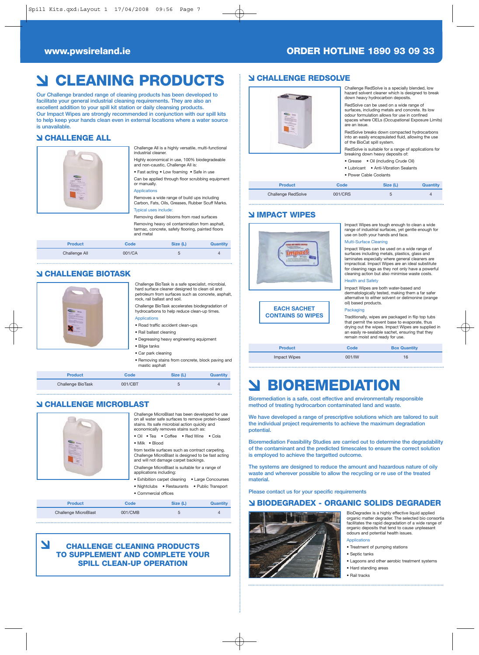#### **www.pwsireland.ie ORDER HOTLINE 1890 93 09 33**

# **CLEANING PRODUCTS**

**Our Challenge branded range of cleaning products has been developed to facilitate your general industrial cleaning requirements. They are also an excellent addition to your spill kit station or daily cleansing products. Our Impact Wipes are strongly recommended in conjunction with our spill kits to help keep your hands clean even in external locations where a water source is unavailable.** 

#### **CHALLENGE ALL**



Challenge All is a highly versatile, multi-functional industrial cleaner. Highly economical in use, 100% biodegradeable

and non-caustic, Challenge All is: • Fast acting • Low foaming • Safe in use

Can be applied through floor scrubbing equipment or manually.

Removes a wide range of build ups including Carbon, Fats, Oils, Greases, Rubber Scuff Marks. Typical uses include:

#### Removing diesel blooms from road surfaces

Applications

Removing heavy oil contamination from asphalt, tarmac, concrete, safety flooring, painted floors and metal

| <b>Product</b> | Code   | Size (L) | <b>Quantity</b> |
|----------------|--------|----------|-----------------|
| Challenge All  | 001/CA |          |                 |

#### **CHALLENGE BIOTASK**



Challenge BioTask is a safe specialist, microbial, hard surface cleaner designed to clean oil and petroleum from surfaces such as concrete, asphalt, rock, rail ballast and soil.

Challenge BioTask accelerates biodegradation of hydrocarbons to help reduce clean-up times. **Applications** 

- Road traffic accident clean-ups
- Rail ballast cleaning
- Degreasing heavy engineering equipment • Bilge tanks
- Car park cleaning
- Removing stains from concrete, block paving and mastic asphalt

| <b>Product</b>           | Code    | Size (L) | <b>Quantity</b> |
|--------------------------|---------|----------|-----------------|
| <b>Challenge BioTask</b> | 001/CBT |          |                 |

#### **CHALLENGE MICROBLAST**



Challenge MicroBlast has been developed for use on all water safe surfaces to remove protein-based stains. Its safe microbial action quickly and economically removes stains such as: • Oil • Tea • Coffee • Red Wine • Cola

• Milk • Blood

from textile surfaces such as contract carpeting. Challenge MicroBlast is designed to be fast acting and will not damage carpet backings.

Challenge MicroBlast is suitable for a range of applications including:

• Exhibition carpet cleaning • Large Concourses • Nightclubs • Restaurants • Public Transport • Commercial offices

**Product Code Size (L) Quantity**

### Challenge MicroBlast 001/CMB 5 4

#### N **CHALLENGE CLEANING PRODUCTS TO SUPPLEMENT AND COMPLETE YOUR SPILL CLEAN-UP OPERATION**

#### **CHALLENGE REDSOLVE**

|                | down heavy hydrocarbon deposits.     | Challenge RedSolve is a specially blended, low<br>hazard solvent cleaner which is designed to break                                                                                             |          |
|----------------|--------------------------------------|-------------------------------------------------------------------------------------------------------------------------------------------------------------------------------------------------|----------|
|                | are an issue.                        | RedSolve can be used on a wide range of<br>surfaces, including metals and concrete. Its low<br>odour formulation allows for use in confined<br>spaces where OELs (Occupational Exposure Limits) |          |
|                | of the BioCat spill system.          | RedSolve breaks down compacted hydrocarbons<br>into an easily encapsulated fluid, allowing the use                                                                                              |          |
|                | breaking down heavy deposits of:     | RedSolve is suitable for a range of applications for                                                                                                                                            |          |
|                | • Grease • Oil (including Crude Oil) |                                                                                                                                                                                                 |          |
|                | $\bullet$ Lubricant                  | • Anti-Vibration Sealants                                                                                                                                                                       |          |
|                | • Power Cable Coolants               |                                                                                                                                                                                                 |          |
| <b>Product</b> | Code                                 | Size (L)                                                                                                                                                                                        | Quantity |

Challenge RedSolve 001/CRS 5 4

#### **IMPACT WIPES**



Impact Wipes are tough enough to clean a wide range of industrial surfaces, yet gentle enough for use on both your hands and face.

#### Multi-Surface Cleaning

Impact Wipes can be used on a wide range of surfaces including metals, plastics, glass and laminates especially where general cleaners are impractical. Impact Wipes are an ideal substitute for cleaning rags as they not only have a powerful cleaning action but also minimise waste costs.

#### Health and Safety

Impact Wipes are both water-based and dermatologically tested, making them a far safer alternative to either solvent or delimonine (orange oil) based products.

#### Packaging

Traditionally, wipes are packaged in flip top tubs that permit the sovent base to evaporate, thus drying out the wipes. Impact Wipes are supplied in an easily re-sealable sachet, ensuring that they remain moist and ready for use.

| <b>Product</b>      | Code   | <b>Box Quantity</b> |  |
|---------------------|--------|---------------------|--|
| <b>Impact Wipes</b> | 001/IW | 16                  |  |

# **BIOREMEDIATION**

**Bioremediation is a safe, cost effective and environmentally responsible method of treating hydrocarbon contaminated land and waste.** 

**We have developed a range of prescriptive solutions which are tailored to suit the individual project requirements to achieve the maximum degradation potential.**

**Bioremediation Feasibility Studies are carried out to determine the degradability of the contaminant and the predicted timescales to ensure the correct solution is employed to achieve the targetted outcome.** 

**The systems are designed to reduce the amount and hazardous nature of oily waste and wherever possible to allow the recycling or re use of the treated material.** 

**Please contact us for your specific requirements**

#### **BIODEGRADEX - ORGANIC SOLIDS DEGRADER**



BioDegradex is a highly effective liquid applied organic matter degrader. The selected bio consortia facilitates the rapid degradation of a wide range of organic deposits that tend to cause unpleasant odours and potential health issues.

- 
- Treatment of pumping stations
- Septic tanks
- Lagoons and other aerobic treatment systems • Hard standing areas
- Rail tracks
- **Applications**